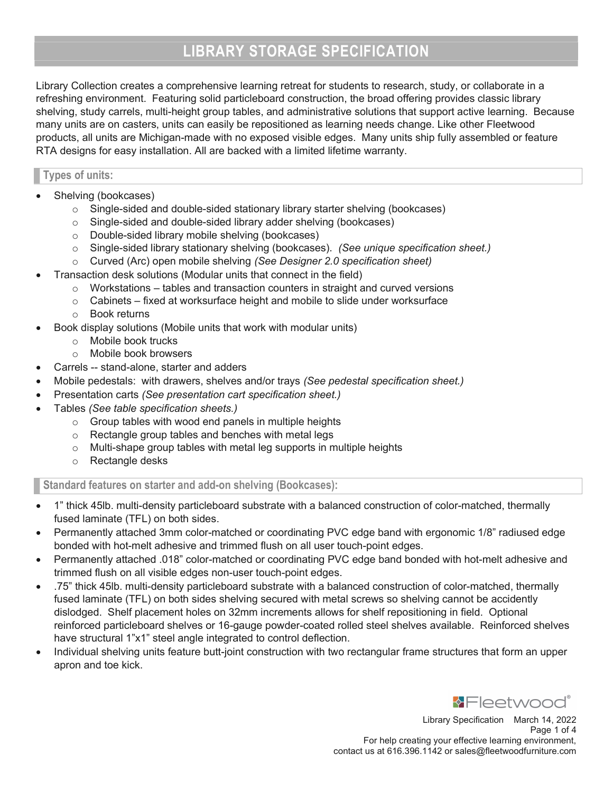# LIBRARY STORAGE SPECIFICATION

Library Collection creates a comprehensive learning retreat for students to research, study, or collaborate in a refreshing environment. Featuring solid particleboard construction, the broad offering provides classic library shelving, study carrels, multi-height group tables, and administrative solutions that support active learning. Because many units are on casters, units can easily be repositioned as learning needs change. Like other Fleetwood products, all units are Michigan-made with no exposed visible edges. Many units ship fully assembled or feature RTA designs for easy installation. All are backed with a limited lifetime warranty.

## Types of units:

- Shelving (bookcases)
	- o Single-sided and double-sided stationary library starter shelving (bookcases)
	- o Single-sided and double-sided library adder shelving (bookcases)
	- o Double-sided library mobile shelving (bookcases)
	- $\circ$  Single-sided library stationary shelving (bookcases). (See unique specification sheet.)
	- $\circ$  Curved (Arc) open mobile shelving (See Designer 2.0 specification sheet)
	- Transaction desk solutions (Modular units that connect in the field)
		- $\circ$  Workstations tables and transaction counters in straight and curved versions
		- $\circ$  Cabinets fixed at worksurface height and mobile to slide under worksurface
		- o Book returns
- Book display solutions (Mobile units that work with modular units)
	- o Mobile book trucks
	- o Mobile book browsers
- Carrels -- stand-alone, starter and adders
- Mobile pedestals: with drawers, shelves and/or trays (See pedestal specification sheet.)
- Presentation carts (See presentation cart specification sheet.)
- Tables (See table specification sheets.)
	- $\circ$  Group tables with wood end panels in multiple heights
	- o Rectangle group tables and benches with metal legs
	- o Multi-shape group tables with metal leg supports in multiple heights
	- o Rectangle desks

Standard features on starter and add-on shelving (Bookcases):

- 1" thick 45lb. multi-density particleboard substrate with a balanced construction of color-matched, thermally fused laminate (TFL) on both sides.
- Permanently attached 3mm color-matched or coordinating PVC edge band with ergonomic 1/8" radiused edge bonded with hot-melt adhesive and trimmed flush on all user touch-point edges.
- Permanently attached .018" color-matched or coordinating PVC edge band bonded with hot-melt adhesive and trimmed flush on all visible edges non-user touch-point edges.
- .75" thick 45lb. multi-density particleboard substrate with a balanced construction of color-matched, thermally fused laminate (TFL) on both sides shelving secured with metal screws so shelving cannot be accidently dislodged. Shelf placement holes on 32mm increments allows for shelf repositioning in field. Optional reinforced particleboard shelves or 16-gauge powder-coated rolled steel shelves available. Reinforced shelves have structural 1"x1" steel angle integrated to control deflection.
- Individual shelving units feature butt-joint construction with two rectangular frame structures that form an upper apron and toe kick.



Library Specification March 14, 2022 Page 1 of 4 For help creating your effective learning environment, contact us at 616.396.1142 or sales@fleetwoodfurniture.com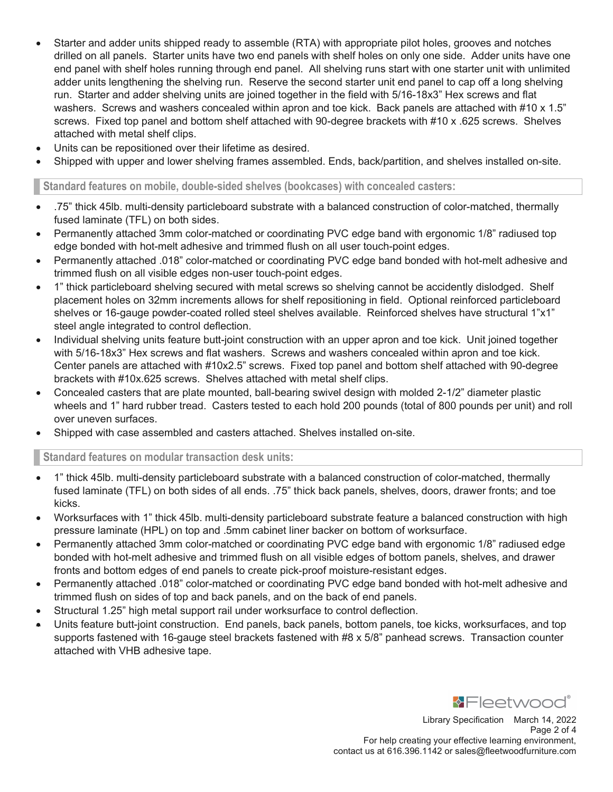- Starter and adder units shipped ready to assemble (RTA) with appropriate pilot holes, grooves and notches drilled on all panels. Starter units have two end panels with shelf holes on only one side. Adder units have one end panel with shelf holes running through end panel. All shelving runs start with one starter unit with unlimited adder units lengthening the shelving run. Reserve the second starter unit end panel to cap off a long shelving run. Starter and adder shelving units are joined together in the field with 5/16-18x3" Hex screws and flat washers. Screws and washers concealed within apron and toe kick. Back panels are attached with #10 x 1.5" screws. Fixed top panel and bottom shelf attached with 90-degree brackets with #10 x .625 screws. Shelves attached with metal shelf clips.
- Units can be repositioned over their lifetime as desired.
- Shipped with upper and lower shelving frames assembled. Ends, back/partition, and shelves installed on-site.

Standard features on mobile, double-sided shelves (bookcases) with concealed casters:

- .75" thick 45lb. multi-density particleboard substrate with a balanced construction of color-matched, thermally fused laminate (TFL) on both sides.
- Permanently attached 3mm color-matched or coordinating PVC edge band with ergonomic 1/8" radiused top edge bonded with hot-melt adhesive and trimmed flush on all user touch-point edges.
- Permanently attached .018" color-matched or coordinating PVC edge band bonded with hot-melt adhesive and trimmed flush on all visible edges non-user touch-point edges.
- 1" thick particleboard shelving secured with metal screws so shelving cannot be accidently dislodged. Shelf placement holes on 32mm increments allows for shelf repositioning in field. Optional reinforced particleboard shelves or 16-gauge powder-coated rolled steel shelves available. Reinforced shelves have structural 1"x1" steel angle integrated to control deflection.
- Individual shelving units feature butt-joint construction with an upper apron and toe kick. Unit joined together with 5/16-18x3" Hex screws and flat washers. Screws and washers concealed within apron and toe kick. Center panels are attached with #10x2.5" screws. Fixed top panel and bottom shelf attached with 90-degree brackets with #10x.625 screws. Shelves attached with metal shelf clips.
- Concealed casters that are plate mounted, ball-bearing swivel design with molded 2-1/2" diameter plastic wheels and 1" hard rubber tread. Casters tested to each hold 200 pounds (total of 800 pounds per unit) and roll over uneven surfaces.
- Shipped with case assembled and casters attached. Shelves installed on-site.

Standard features on modular transaction desk units:

- 1" thick 45lb. multi-density particleboard substrate with a balanced construction of color-matched, thermally fused laminate (TFL) on both sides of all ends. .75" thick back panels, shelves, doors, drawer fronts; and toe kicks.
- Worksurfaces with 1" thick 45lb. multi-density particleboard substrate feature a balanced construction with high pressure laminate (HPL) on top and .5mm cabinet liner backer on bottom of worksurface.
- Permanently attached 3mm color-matched or coordinating PVC edge band with ergonomic 1/8" radiused edge bonded with hot-melt adhesive and trimmed flush on all visible edges of bottom panels, shelves, and drawer fronts and bottom edges of end panels to create pick-proof moisture-resistant edges.
- Permanently attached .018" color-matched or coordinating PVC edge band bonded with hot-melt adhesive and trimmed flush on sides of top and back panels, and on the back of end panels.
- Structural 1.25" high metal support rail under worksurface to control deflection.
- Units feature butt-joint construction. End panels, back panels, bottom panels, toe kicks, worksurfaces, and top supports fastened with 16-gauge steel brackets fastened with #8 x 5/8" panhead screws. Transaction counter attached with VHB adhesive tape.

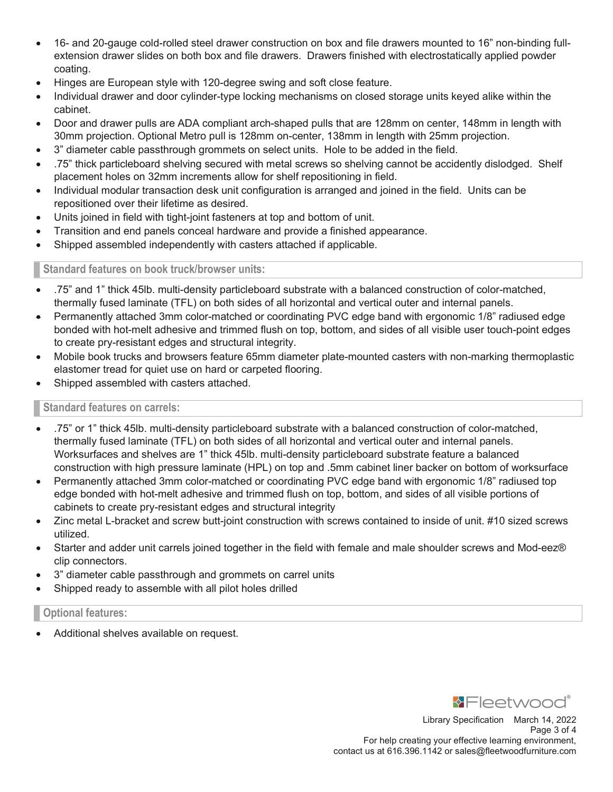- 16- and 20-gauge cold-rolled steel drawer construction on box and file drawers mounted to 16" non-binding fullextension drawer slides on both box and file drawers. Drawers finished with electrostatically applied powder coating.
- Hinges are European style with 120-degree swing and soft close feature.
- Individual drawer and door cylinder-type locking mechanisms on closed storage units keyed alike within the cabinet.
- Door and drawer pulls are ADA compliant arch-shaped pulls that are 128mm on center, 148mm in length with 30mm projection. Optional Metro pull is 128mm on-center, 138mm in length with 25mm projection.
- 3" diameter cable passthrough grommets on select units. Hole to be added in the field.
- .75" thick particleboard shelving secured with metal screws so shelving cannot be accidently dislodged. Shelf placement holes on 32mm increments allow for shelf repositioning in field.
- Individual modular transaction desk unit configuration is arranged and joined in the field. Units can be repositioned over their lifetime as desired.
- Units joined in field with tight-joint fasteners at top and bottom of unit.
- Transition and end panels conceal hardware and provide a finished appearance.
- Shipped assembled independently with casters attached if applicable.

## Standard features on book truck/browser units:

- .75" and 1" thick 45lb. multi-density particleboard substrate with a balanced construction of color-matched, thermally fused laminate (TFL) on both sides of all horizontal and vertical outer and internal panels.
- Permanently attached 3mm color-matched or coordinating PVC edge band with ergonomic 1/8" radiused edge bonded with hot-melt adhesive and trimmed flush on top, bottom, and sides of all visible user touch-point edges to create pry-resistant edges and structural integrity.
- Mobile book trucks and browsers feature 65mm diameter plate-mounted casters with non-marking thermoplastic elastomer tread for quiet use on hard or carpeted flooring.
- Shipped assembled with casters attached.

## Standard features on carrels:

- .75" or 1" thick 45lb. multi-density particleboard substrate with a balanced construction of color-matched, thermally fused laminate (TFL) on both sides of all horizontal and vertical outer and internal panels. Worksurfaces and shelves are 1" thick 45lb. multi-density particleboard substrate feature a balanced construction with high pressure laminate (HPL) on top and .5mm cabinet liner backer on bottom of worksurface
- Permanently attached 3mm color-matched or coordinating PVC edge band with ergonomic 1/8" radiused top edge bonded with hot-melt adhesive and trimmed flush on top, bottom, and sides of all visible portions of cabinets to create pry-resistant edges and structural integrity
- Zinc metal L-bracket and screw butt-joint construction with screws contained to inside of unit. #10 sized screws utilized.
- Starter and adder unit carrels joined together in the field with female and male shoulder screws and Mod-eez® clip connectors.
- 3" diameter cable passthrough and grommets on carrel units
- Shipped ready to assemble with all pilot holes drilled

## Optional features:

Additional shelves available on request.